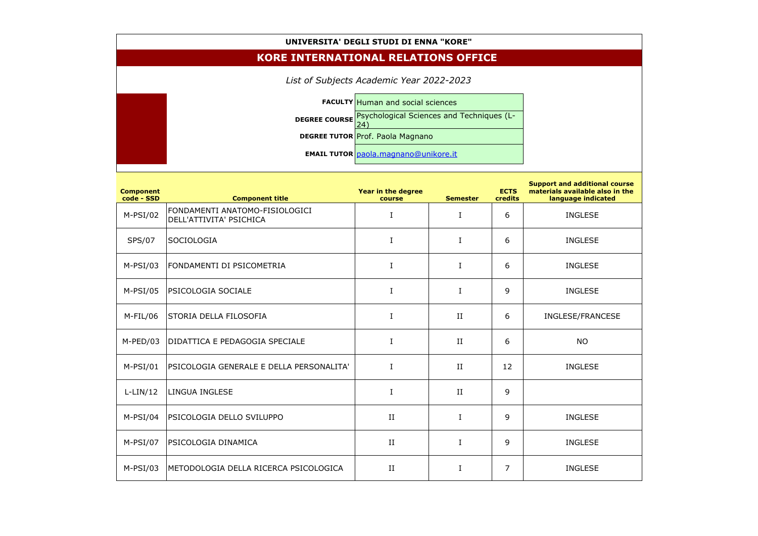## **UNIVERSITA' DEGLI STUDI DI ENNA "KORE"**

## **KORE INTERNATIONAL RELATIONS OFFICE**

*List of Subjects Academic Year 2022-2023*

**FACULTY** Human and social sciences **DEGREE COURSE Psychological Sciences and Techniques (L-**<u>24)</u> **DEGREE TUTOR Prof. Paola Magnano EMAIL TUTOR** [paola.magnano@unikore.it](mailto:paola.magnano@unikore.it)

| <b>Component</b><br>code - SSD | <b>Component title</b>                                    | Year in the degree<br>course | <b>Semester</b> | <b>ECTS</b><br>credits | <b>Support and addition</b><br>materials available a<br>language indic |
|--------------------------------|-----------------------------------------------------------|------------------------------|-----------------|------------------------|------------------------------------------------------------------------|
| $M-PSI/02$                     | FONDAMENTI ANATOMO-FISIOLOGICI<br>DELL'ATTIVITA' PSICHICA | $\rm I$                      | I               | 6                      | <b>INGLESE</b>                                                         |
| <b>SPS/07</b>                  | SOCIOLOGIA                                                | $\bf{I}$                     | $\mathbf I$     | 6                      | <b>INGLESE</b>                                                         |
| $M-PSI/03$                     | FONDAMENTI DI PSICOMETRIA                                 | $\bf{I}$                     | I               | 6                      | <b>INGLESE</b>                                                         |
| $M-PSI/05$                     | PSICOLOGIA SOCIALE                                        | $\bf I$                      | $\bf{I}$        | 9                      | <b>INGLESE</b>                                                         |
| $M-FIL/06$                     | STORIA DELLA FILOSOFIA                                    | $\bf I$                      | II              | 6                      | INGLESE/FRAN                                                           |
| $M-PED/03$                     | DIDATTICA E PEDAGOGIA SPECIALE                            | I                            | II              | 6                      | <b>NO</b>                                                              |
| $M-PSI/01$                     | PSICOLOGIA GENERALE E DELLA PERSONALITA'                  | $\rm I$                      | $\rm II$        | 12                     | <b>INGLESE</b>                                                         |
| $L-LIN/12$                     | <b>LINGUA INGLESE</b>                                     | $\bf{I}$                     | II              | 9                      |                                                                        |
| $M-PSI/04$                     | PSICOLOGIA DELLO SVILUPPO                                 | II                           | $\mathbf I$     | 9                      | <b>INGLESE</b>                                                         |
| $M-PSI/07$                     | PSICOLOGIA DINAMICA                                       | II                           | $\mathbf I$     | 9                      | <b>INGLESE</b>                                                         |
| $M-PSI/03$                     | METODOLOGIA DELLA RICERCA PSICOLOGICA                     | II                           | I               | $\overline{7}$         | <b>INGLESE</b>                                                         |

## **Support and additional course matable also in the age indicated**

SE/FRANCESE